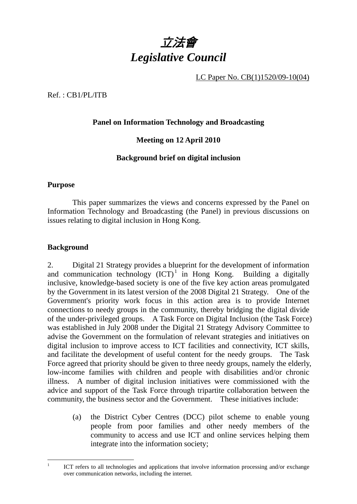

LC Paper No. CB(1)1520/09-10(04)

Ref. : CB1/PL/ITB

## **Panel on Information Technology and Broadcasting**

**Meeting on 12 April 2010** 

# **Background brief on digital inclusion**

### **Purpose**

This paper summarizes the views and concerns expressed by the Panel on Information Technology and Broadcasting (the Panel) in previous discussions on issues relating to digital inclusion in Hong Kong.

### **Background**

2. Digital 21 Strategy provides a blueprint for the development of information and communication technology  ${(ICT)}^1$  in Hong Kong. Building a digitally inclusive, knowledge-based society is one of the five key action areas promulgated by the Government in its latest version of the 2008 Digital 21 Strategy. One of the Government's priority work focus in this action area is to provide Internet connections to needy groups in the community, thereby bridging the digital divide of the under-privileged groups. A Task Force on Digital Inclusion (the Task Force) was established in July 2008 under the Digital 21 Strategy Advisory Committee to advise the Government on the formulation of relevant strategies and initiatives on digital inclusion to improve access to ICT facilities and connectivity, ICT skills, and facilitate the development of useful content for the needy groups. The Task Force agreed that priority should be given to three needy groups, namely the elderly, low-income families with children and people with disabilities and/or chronic illness. A number of digital inclusion initiatives were commissioned with the advice and support of the Task Force through tripartite collaboration between the community, the business sector and the Government. These initiatives include:

(a) the District Cyber Centres (DCC) pilot scheme to enable young people from poor families and other needy members of the community to access and use ICT and online services helping them integrate into the information society;

 $\frac{1}{1}$  ICT refers to all technologies and applications that involve information processing and/or exchange over communication networks, including the internet.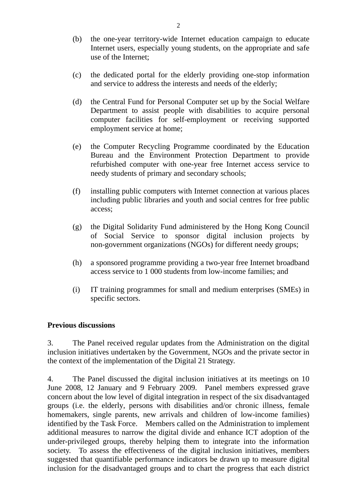- (b) the one-year territory-wide Internet education campaign to educate Internet users, especially young students, on the appropriate and safe use of the Internet;
- (c) the dedicated portal for the elderly providing one-stop information and service to address the interests and needs of the elderly;
- (d) the Central Fund for Personal Computer set up by the Social Welfare Department to assist people with disabilities to acquire personal computer facilities for self-employment or receiving supported employment service at home;
- (e) the Computer Recycling Programme coordinated by the Education Bureau and the Environment Protection Department to provide refurbished computer with one-year free Internet access service to needy students of primary and secondary schools;
- (f) installing public computers with Internet connection at various places including public libraries and youth and social centres for free public access;
- (g) the Digital Solidarity Fund administered by the Hong Kong Council of Social Service to sponsor digital inclusion projects by non-government organizations (NGOs) for different needy groups;
- (h) a sponsored programme providing a two-year free Internet broadband access service to 1 000 students from low-income families; and
- (i) IT training programmes for small and medium enterprises (SMEs) in specific sectors.

#### **Previous discussions**

3. The Panel received regular updates from the Administration on the digital inclusion initiatives undertaken by the Government, NGOs and the private sector in the context of the implementation of the Digital 21 Strategy.

4. The Panel discussed the digital inclusion initiatives at its meetings on 10 June 2008, 12 January and 9 February 2009. Panel members expressed grave concern about the low level of digital integration in respect of the six disadvantaged groups (i.e. the elderly, persons with disabilities and/or chronic illness, female homemakers, single parents, new arrivals and children of low-income families) identified by the Task Force. Members called on the Administration to implement additional measures to narrow the digital divide and enhance ICT adoption of the under-privileged groups, thereby helping them to integrate into the information society. To assess the effectiveness of the digital inclusion initiatives, members suggested that quantifiable performance indicators be drawn up to measure digital inclusion for the disadvantaged groups and to chart the progress that each district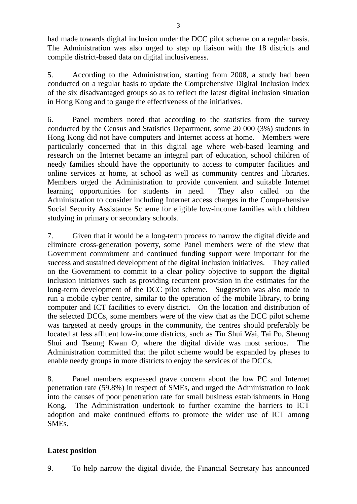had made towards digital inclusion under the DCC pilot scheme on a regular basis. The Administration was also urged to step up liaison with the 18 districts and compile district-based data on digital inclusiveness.

5. According to the Administration, starting from 2008, a study had been conducted on a regular basis to update the Comprehensive Digital Inclusion Index of the six disadvantaged groups so as to reflect the latest digital inclusion situation in Hong Kong and to gauge the effectiveness of the initiatives.

6. Panel members noted that according to the statistics from the survey conducted by the Census and Statistics Department, some 20 000 (3%) students in Hong Kong did not have computers and Internet access at home. Members were particularly concerned that in this digital age where web-based learning and research on the Internet became an integral part of education, school children of needy families should have the opportunity to access to computer facilities and online services at home, at school as well as community centres and libraries. Members urged the Administration to provide convenient and suitable Internet learning opportunities for students in need. They also called on the Administration to consider including Internet access charges in the Comprehensive Social Security Assistance Scheme for eligible low-income families with children studying in primary or secondary schools.

7. Given that it would be a long-term process to narrow the digital divide and eliminate cross-generation poverty, some Panel members were of the view that Government commitment and continued funding support were important for the success and sustained development of the digital inclusion initiatives. They called on the Government to commit to a clear policy objective to support the digital inclusion initiatives such as providing recurrent provision in the estimates for the long-term development of the DCC pilot scheme. Suggestion was also made to run a mobile cyber centre, similar to the operation of the mobile library, to bring computer and ICT facilities to every district. On the location and distribution of the selected DCCs, some members were of the view that as the DCC pilot scheme was targeted at needy groups in the community, the centres should preferably be located at less affluent low-income districts, such as Tin Shui Wai, Tai Po, Sheung Shui and Tseung Kwan O, where the digital divide was most serious. The Administration committed that the pilot scheme would be expanded by phases to enable needy groups in more districts to enjoy the services of the DCCs.

8. Panel members expressed grave concern about the low PC and Internet penetration rate (59.8%) in respect of SMEs, and urged the Administration to look into the causes of poor penetration rate for small business establishments in Hong Kong. The Administration undertook to further examine the barriers to ICT adoption and make continued efforts to promote the wider use of ICT among **SMEs**.

### **Latest position**

9. To help narrow the digital divide, the Financial Secretary has announced